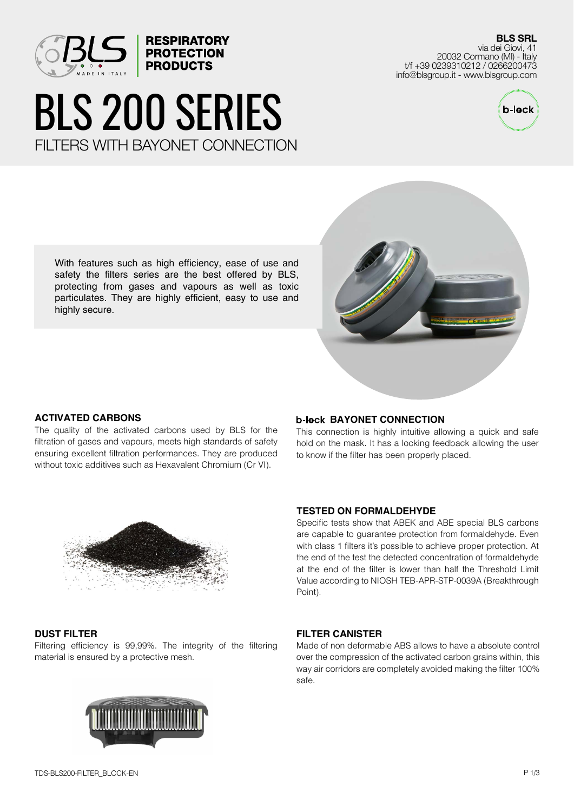

# BLS 200 SERIES FILTERS WITH BAYONET CONNECTION

**BLS SRL** via dei Giovi, 41 20032 Cormano (MI) - Italy t/f +39 0239310212 / 0266200473 info@blsgroup.it - www.blsgroup.com



With features such as high efficiency, ease of use and safety the filters series are the best offered by BLS, protecting from gases and vapours as well as toxic particulates. They are highly efficient, easy to use and highly secure.



# **ACTIVATED CARBONS**

The quality of the activated carbons used by BLS for the filtration of gases and vapours, meets high standards of safety ensuring excellent filtration performances. They are produced without toxic additives such as Hexavalent Chromium (Cr VI).

#### **b-lock BAYONET CONNECTION**

This connection is highly intuitive allowing a quick and safe hold on the mask. It has a locking feedback allowing the user to know if the filter has been properly placed.



## **DUST FILTER**

Filtering efficiency is 99,99%. The integrity of the filtering material is ensured by a protective mesh.



#### **TESTED ON FORMALDEHYDE**

Specific tests show that ABEK and ABE special BLS carbons are capable to guarantee protection from formaldehyde. Even with class 1 filters it's possible to achieve proper protection. At the end of the test the detected concentration of formaldehyde at the end of the filter is lower than half the Threshold Limit Value according to NIOSH TEB-APR-STP-0039A (Breakthrough Point).

#### **FILTER CANISTER**

Made of non deformable ABS allows to have a absolute control over the compression of the activated carbon grains within, this way air corridors are completely avoided making the filter 100% safe.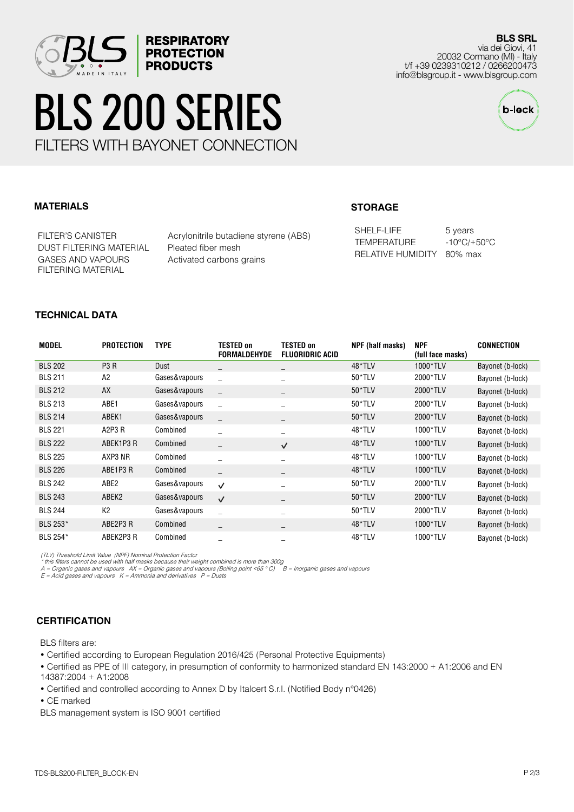

# BLS 200 SERIES FILTERS WITH BAYONET CONNECTION

**RESPIRATORY PROTECTION PRODUCTS** 

**BLS SRL** via dei Giovi, 41 20032 Cormano (MI) - Italy t/f +39 0239310212 / 0266200473 info@blsgroup.it - www.blsgroup.com



# **MATERIALS**

DUST FILTERING MATERIAL Pleated fiber mesh GASES AND VAPOURS FILTERING MATERIAL

FILTER'S CANISTER Acrylonitrile butadiene styrene (ABS) Activated carbons grains

# **STORAGE**

SHELF-LIFE 5 years TEMPERATURE -10°C/+50°C RELATIVE HUMIDITY 80% max

## **TECHNICAL DATA**

| <b>MODEL</b>   | <b>PROTECTION</b> | <b>TYPE</b>   | TESTED on<br><b>FORMALDEHYDE</b> | <b>TESTED on</b><br><b>FLUORIDRIC ACID</b> | NPF (half masks) | <b>NPF</b><br>(full face masks) | CONNECTION       |
|----------------|-------------------|---------------|----------------------------------|--------------------------------------------|------------------|---------------------------------|------------------|
| <b>BLS 202</b> | P <sub>3</sub> R  | Dust          |                                  |                                            | 48*TLV           | 1000*TLV                        | Bayonet (b-lock) |
| <b>BLS 211</b> | A <sub>2</sub>    | Gases&vapours | $\overline{a}$                   |                                            | 50*TLV           | 2000*TLV                        | Bayonet (b-lock) |
| <b>BLS 212</b> | AX                | Gases&vapours |                                  |                                            | $50*TLV$         | 2000*TLV                        | Bayonet (b-lock) |
| <b>BLS 213</b> | ABE1              | Gases&vapours |                                  |                                            | 50*TLV           | 2000*TLV                        | Bayonet (b-lock) |
| <b>BLS 214</b> | ABEK1             | Gases&vapours | $\equiv$                         |                                            | $50*TLV$         | 2000*TLV                        | Bayonet (b-lock) |
| <b>BLS 221</b> | A2P3 R            | Combined      |                                  |                                            | 48*TLV           | 1000*TLV                        | Bayonet (b-lock) |
| <b>BLS 222</b> | ABEK1P3 R         | Combined      | $\qquad \qquad -$                | $\checkmark$                               | 48*TLV           | 1000*TLV                        | Bayonet (b-lock) |
| <b>BLS 225</b> | AXP3 NR           | Combined      |                                  |                                            | 48*TLV           | 1000*TLV                        | Bayonet (b-lock) |
| <b>BLS 226</b> | ABE1P3R           | Combined      |                                  |                                            | 48*TLV           | 1000*TLV                        | Bayonet (b-lock) |
| <b>BLS 242</b> | ABE2              | Gases&vapours | $\checkmark$                     |                                            | 50*TLV           | 2000*TLV                        | Bayonet (b-lock) |
| <b>BLS 243</b> | ABEK <sub>2</sub> | Gases&vapours | $\checkmark$                     |                                            | $50*TLV$         | 2000*TLV                        | Bayonet (b-lock) |
| <b>BLS 244</b> | K <sub>2</sub>    | Gases&vapours |                                  |                                            | 50*TLV           | 2000*TLV                        | Bayonet (b-lock) |
| BLS 253*       | ABE2P3 R          | Combined      | $\overline{\phantom{m}}$         |                                            | 48*TLV           | 1000*TLV                        | Bayonet (b-lock) |
| BLS 254*       | ABEK2P3 R         | Combined      |                                  |                                            | 48*TLV           | 1000*TLV                        | Bayonet (b-lock) |

(TLV) Threshold Limit Value (NPF) Nominal Protection Factor

\* this filters cannot be used with half masks because their weight combined is more than 300g<br>A = Organic gases and vapours AX = Organic gases and vapours (Boiling point <65 ° C) B = Inorganic gases and vapours<br>E = A

## **CERTIFICATION**

BLS filters are:

• Certified according to European Regulation 2016/425 (Personal Protective Equipments)

• Certified as PPE of III category, in presumption of conformity to harmonized standard EN 143:2000 + A1:2006 and EN 14387:2004 + A1:2008

• Certified and controlled according to Annex D by Italcert S.r.l. (Notified Body n°0426)

• CE marked

BLS management system is ISO 9001 certified